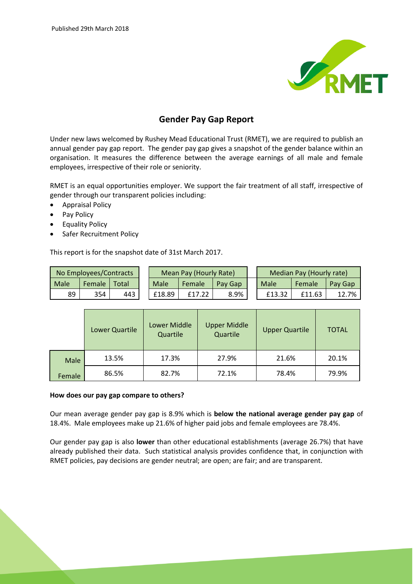

## **Gender Pay Gap Report**

Under new laws welcomed by Rushey Mead Educational Trust (RMET), we are required to publish an annual gender pay gap report. The gender pay gap gives a snapshot of the gender balance within an organisation. It measures the difference between the average earnings of all male and female employees, irrespective of their role or seniority.

RMET is an equal opportunities employer. We support the fair treatment of all staff, irrespective of gender through our transparent policies including:

- Appraisal Policy
- Pay Policy
- **•** Equality Policy
- Safer Recruitment Policy

This report is for the snapshot date of 31st March 2017.

| No Employees/Contracts |        |       | Mean Pay (Hourly Rate) |        |         | Median Pay (Hourly rate) |        |         |
|------------------------|--------|-------|------------------------|--------|---------|--------------------------|--------|---------|
| Male                   | Female | Total | Male                   | Female | Pay Gap | Male                     | Female | Pay Gap |
| 89                     | 354    | 443   | £18.89                 |        | 8.9%    | £13.32                   | £11.63 | 12.7%   |

|        | Lower Quartile | Lower Middle<br>Quartile | <b>Upper Middle</b><br>Quartile | <b>Upper Quartile</b> | <b>TOTAL</b> |
|--------|----------------|--------------------------|---------------------------------|-----------------------|--------------|
| Male   | 13.5%          | 17.3%                    | 27.9%                           | 21.6%                 | 20.1%        |
| Female | 86.5%          | 82.7%                    | 72.1%                           | 78.4%                 | 79.9%        |

## **How does our pay gap compare to others?**

Our mean average gender pay gap is 8.9% which is **below the national average gender pay gap** of 18.4%. Male employees make up 21.6% of higher paid jobs and female employees are 78.4%.

Our gender pay gap is also **lower** than other educational establishments (average 26.7%) that have already published their data. Such statistical analysis provides confidence that, in conjunction with RMET policies, pay decisions are gender neutral; are open; are fair; and are transparent.